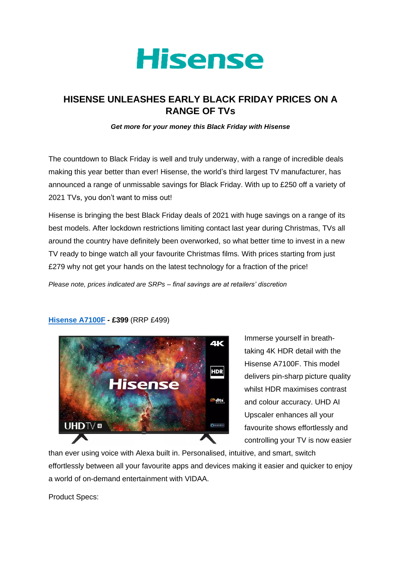

## **HISENSE UNLEASHES EARLY BLACK FRIDAY PRICES ON A RANGE OF TVs**

*Get more for your money this Black Friday with Hisense*

The countdown to Black Friday is well and truly underway, with a range of incredible deals making this year better than ever! Hisense, the world's third largest TV manufacturer, has announced a range of unmissable savings for Black Friday. With up to £250 off a variety of 2021 TVs, you don't want to miss out!

Hisense is bringing the best Black Friday deals of 2021 with huge savings on a range of its best models. After lockdown restrictions limiting contact last year during Christmas, TVs all around the country have definitely been overworked, so what better time to invest in a new TV ready to binge watch all your favourite Christmas films. With prices starting from just £279 why not get your hands on the latest technology for a fraction of the price!

*Please note, prices indicated are SRPs – final savings are at retailers' discretion*



**[Hisense A7100F](https://hisense.co.uk/tvs/all-tvs/a7100f/) - £399** (RRP £499)

Immerse yourself in breathtaking 4K HDR detail with the Hisense A7100F. This model delivers pin-sharp picture quality whilst HDR maximises contrast and colour accuracy. UHD AI Upscaler enhances all your favourite shows effortlessly and controlling your TV is now easier

than ever using voice with Alexa built in. Personalised, intuitive, and smart, switch effortlessly between all your favourite apps and devices making it easier and quicker to enjoy a world of on-demand entertainment with VIDAA.

Product Specs: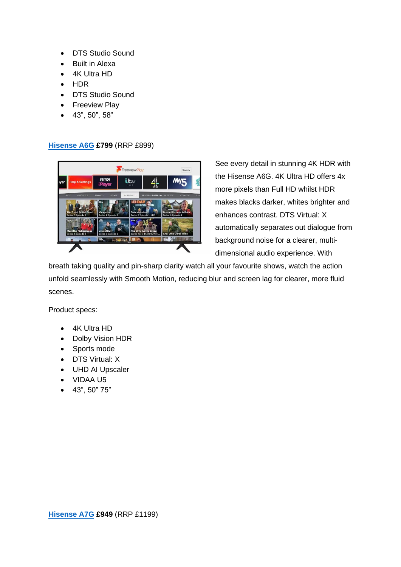- DTS Studio Sound
- Built in Alexa
- 4K Ultra HD
- HDR
- DTS Studio Sound
- Freeview Play
- 43", 50", 58"

## **[Hisense A6G](https://hisense.co.uk/tvs/all-tvs/a6g/) £799** (RRP £899)



See every detail in stunning 4K HDR with the Hisense A6G. 4K Ultra HD offers 4x more pixels than Full HD whilst HDR makes blacks darker, whites brighter and enhances contrast. DTS Virtual: X automatically separates out dialogue from background noise for a clearer, multidimensional audio experience. With

breath taking quality and pin-sharp clarity watch all your favourite shows, watch the action unfold seamlessly with Smooth Motion, reducing blur and screen lag for clearer, more fluid scenes.

Product specs:

- 4K Ultra HD
- Dolby Vision HDR
- Sports mode
- DTS Virtual: X
- UHD AI Upscaler
- VIDAA U5
- 43", 50" 75"